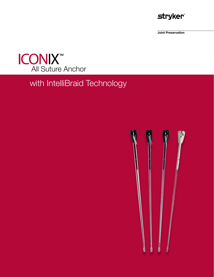

**Joint Preservation** 



# with IntelliBraid Technology

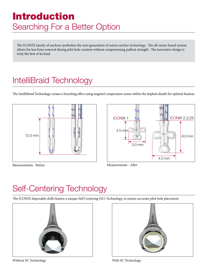# Introduction Searching For a Better Option

The ICONIX family of anchors symbolize the next generation of suture anchor technology. The all suture based system allows for less bone removal during pilot hole creation without compromising pullout strength. The innovative design is truly the first of its kind.

# IntelliBraid Technology

The IntelliBraid Technology creates a bunching effect using targeted compression zones within the implant sheath for optimal fixation.





Measurements - Before

Measurements - After

# Self-Centering Technology

The ICONIX disposable drills feature a unique Self Centering (SC) Technology, to ensure accurate pilot hole placement.





Without SC Technology

With SC Technology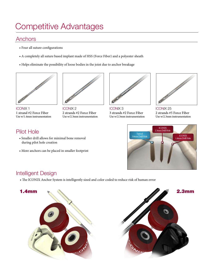#### **Anchors**

- Four all suture configurations
- A completely all suture based implant made of HSS (Force Fiber) and a polyester sheath
- Helps eliminate the possibility of loose bodies in the joint due to anchor breakage



ICONIX 1 1 strand #2 Force Fiber Use w/1.4mm instrumentation



ICONIX 2 2 strands #2 Force Fiber Use w/2.3mm instrumentation



ICONIX 3 3 strands #2 Force Fiber Use w/2.3mm instrumentation



ICONIX 25 2 strands #5 Force Fiber Use w/2.3mm instrumentation

### Pilot Hole

- Smaller drill allows for minimal bone removal during pilot hole creation
- More anchors can be placed in smaller footprint



### Intelligent Design

• The ICONIX Anchor System is intelligently sized and color coded to reduce risk of human error

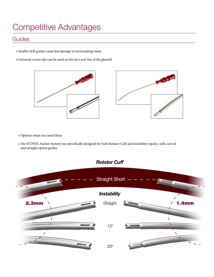#### **Guides**

- Smaller drill guides cause less damage to surrounding tissue
- Universal crown tips can be used on the face and rim of the glenoid



- Options when you need them
- The ICONIX Anchor System was specifically designed for both Rotator Cuff and Instability repairs, with curved and straight option guides

#### *Rotator Cuff*

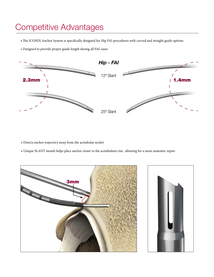- The ICONIX Anchor System is specifically designed for Hip FAI procedures with curved and straight guide options
- Designed to provide proper guide length during all FAI cases



- Directs anchor trajectory away from the acetabular socket
- Unique SLANT mouth helps place anchor closer to the acetabulum rim, allowing for a more anatomic repair

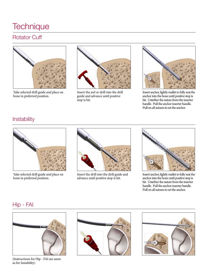## **Technique**

## Rotator Cuff



Take selected drill guide and place on bone in preferred position.



Insert the awl or drill into the drill guide and advance until positive stop is hit.



Insert anchor, lightly mallet to fully seat the anchor into the bone until positive stop is hit. Untether the suture from the inserter handle. Pull the anchor inserter handle. Pull on all sutures to set the anchor.

#### **Instability**



Take selected drill guide and place on bone in preferred position.



Insert the drill into the drill guide and advance until positive stop is hit.



Insert anchor, lightly mallet to fully seat the anchor into the bone until positive stop is hit. Untether the suture from the inserter handle. Pull the anchor inserter handle. Pull on all sutures to set the anchor.

#### Hip - FAI



(Instructions for Hip - FAI are same as for Instability)



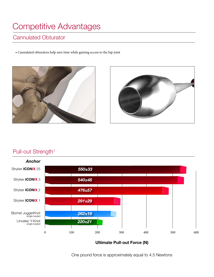### Cannulated Obturator

• Cannulated obturators help save time while gaining access to the hip joint





### Pull-out Strength<sup>1</sup>



**Ultimate Pull-out Force (N)**

One pound force is approximately equal to 4.5 Newtons